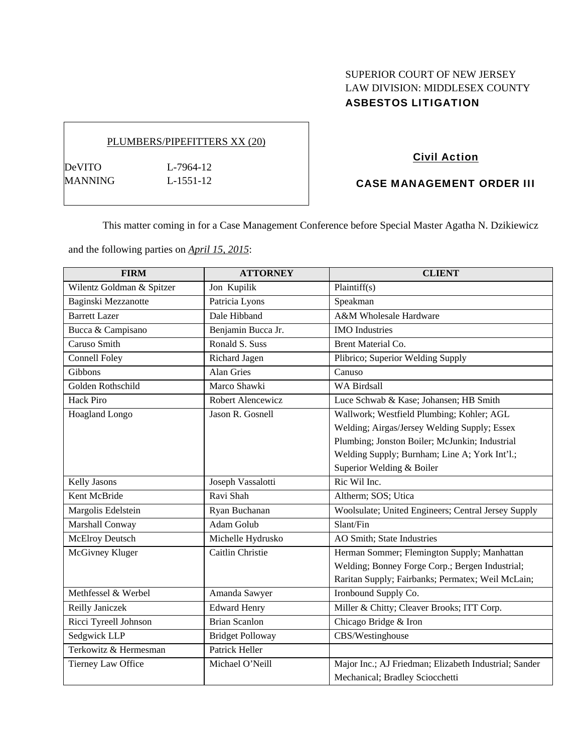# SUPERIOR COURT OF NEW JERSEY LAW DIVISION: MIDDLESEX COUNTY ASBESTOS LITIGATION

## PLUMBERS/PIPEFITTERS XX (20)

DeVITO L-7964-12 MANNING L-1551-12

## Civil Action

## CASE MANAGEMENT ORDER III

This matter coming in for a Case Management Conference before Special Master Agatha N. Dzikiewicz

and the following parties on *April 15, 2015*:

| <b>FIRM</b>               | <b>ATTORNEY</b>         | <b>CLIENT</b>                                         |
|---------------------------|-------------------------|-------------------------------------------------------|
| Wilentz Goldman & Spitzer | Jon Kupilik             | Plaintiff(s)                                          |
| Baginski Mezzanotte       | Patricia Lyons          | Speakman                                              |
| <b>Barrett Lazer</b>      | Dale Hibband            | A&M Wholesale Hardware                                |
| Bucca & Campisano         | Benjamin Bucca Jr.      | <b>IMO</b> Industries                                 |
| Caruso Smith              | Ronald S. Suss          | Brent Material Co.                                    |
| <b>Connell Foley</b>      | Richard Jagen           | Plibrico; Superior Welding Supply                     |
| Gibbons                   | <b>Alan Gries</b>       | Canuso                                                |
| Golden Rothschild         | Marco Shawki            | <b>WA Birdsall</b>                                    |
| <b>Hack Piro</b>          | Robert Alencewicz       | Luce Schwab & Kase; Johansen; HB Smith                |
| Hoagland Longo            | Jason R. Gosnell        | Wallwork; Westfield Plumbing; Kohler; AGL             |
|                           |                         | Welding; Airgas/Jersey Welding Supply; Essex          |
|                           |                         | Plumbing; Jonston Boiler; McJunkin; Industrial        |
|                           |                         | Welding Supply; Burnham; Line A; York Int'l.;         |
|                           |                         | Superior Welding & Boiler                             |
| Kelly Jasons              | Joseph Vassalotti       | Ric Wil Inc.                                          |
| Kent McBride              | Ravi Shah               | Altherm; SOS; Utica                                   |
| Margolis Edelstein        | Ryan Buchanan           | Woolsulate; United Engineers; Central Jersey Supply   |
| Marshall Conway           | Adam Golub              | Slant/Fin                                             |
| <b>McElroy Deutsch</b>    | Michelle Hydrusko       | AO Smith; State Industries                            |
| McGivney Kluger           | Caitlin Christie        | Herman Sommer; Flemington Supply; Manhattan           |
|                           |                         | Welding; Bonney Forge Corp.; Bergen Industrial;       |
|                           |                         | Raritan Supply; Fairbanks; Permatex; Weil McLain;     |
| Methfessel & Werbel       | Amanda Sawyer           | Ironbound Supply Co.                                  |
| Reilly Janiczek           | <b>Edward Henry</b>     | Miller & Chitty; Cleaver Brooks; ITT Corp.            |
| Ricci Tyreell Johnson     | <b>Brian Scanlon</b>    | Chicago Bridge & Iron                                 |
| Sedgwick LLP              | <b>Bridget Polloway</b> | CBS/Westinghouse                                      |
| Terkowitz & Hermesman     | Patrick Heller          |                                                       |
| Tierney Law Office        | Michael O'Neill         | Major Inc.; AJ Friedman; Elizabeth Industrial; Sander |
|                           |                         | Mechanical; Bradley Sciocchetti                       |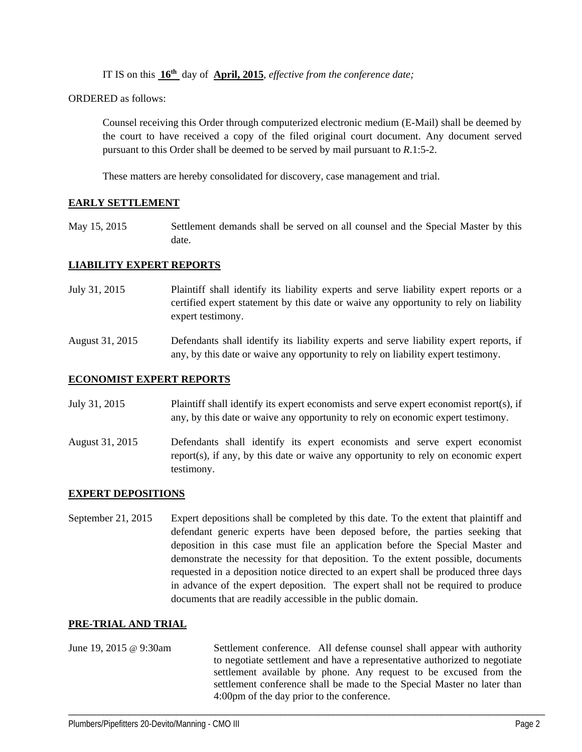IT IS on this **16th** day of **April, 2015**, *effective from the conference date;*

ORDERED as follows:

Counsel receiving this Order through computerized electronic medium (E-Mail) shall be deemed by the court to have received a copy of the filed original court document. Any document served pursuant to this Order shall be deemed to be served by mail pursuant to *R*.1:5-2.

These matters are hereby consolidated for discovery, case management and trial.

## **EARLY SETTLEMENT**

May 15, 2015 Settlement demands shall be served on all counsel and the Special Master by this date.

### **LIABILITY EXPERT REPORTS**

- July 31, 2015 Plaintiff shall identify its liability experts and serve liability expert reports or a certified expert statement by this date or waive any opportunity to rely on liability expert testimony.
- August 31, 2015 Defendants shall identify its liability experts and serve liability expert reports, if any, by this date or waive any opportunity to rely on liability expert testimony.

### **ECONOMIST EXPERT REPORTS**

- July 31, 2015 Plaintiff shall identify its expert economists and serve expert economist report(s), if any, by this date or waive any opportunity to rely on economic expert testimony.
- August 31, 2015 Defendants shall identify its expert economists and serve expert economist report(s), if any, by this date or waive any opportunity to rely on economic expert testimony.

#### **EXPERT DEPOSITIONS**

September 21, 2015 Expert depositions shall be completed by this date. To the extent that plaintiff and defendant generic experts have been deposed before, the parties seeking that deposition in this case must file an application before the Special Master and demonstrate the necessity for that deposition. To the extent possible, documents requested in a deposition notice directed to an expert shall be produced three days in advance of the expert deposition. The expert shall not be required to produce documents that are readily accessible in the public domain.

#### **PRE-TRIAL AND TRIAL**

June 19, 2015 @ 9:30am Settlement conference. All defense counsel shall appear with authority to negotiate settlement and have a representative authorized to negotiate settlement available by phone. Any request to be excused from the settlement conference shall be made to the Special Master no later than 4:00pm of the day prior to the conference.

\_\_\_\_\_\_\_\_\_\_\_\_\_\_\_\_\_\_\_\_\_\_\_\_\_\_\_\_\_\_\_\_\_\_\_\_\_\_\_\_\_\_\_\_\_\_\_\_\_\_\_\_\_\_\_\_\_\_\_\_\_\_\_\_\_\_\_\_\_\_\_\_\_\_\_\_\_\_\_\_\_\_\_\_\_\_\_\_\_\_\_\_\_\_\_\_\_\_\_\_\_\_\_\_\_\_\_\_\_\_